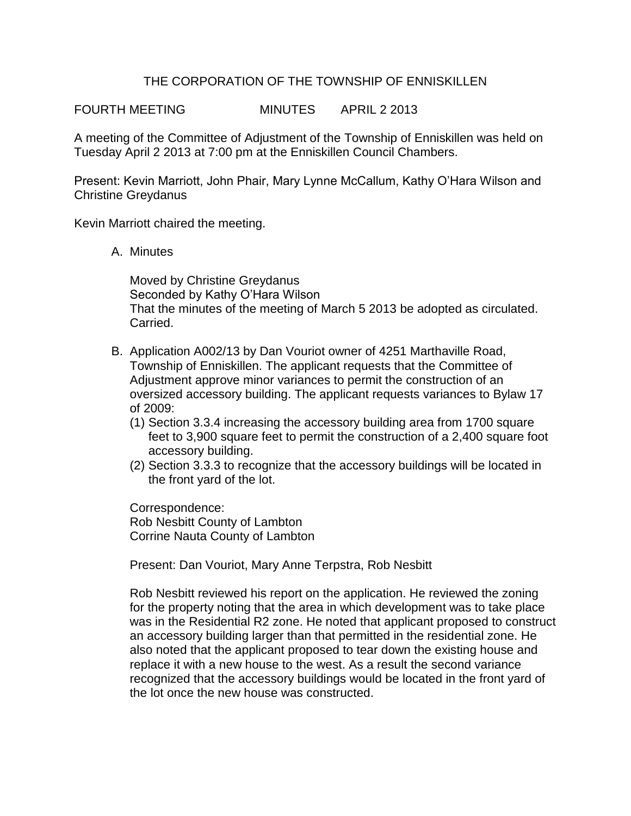## THE CORPORATION OF THE TOWNSHIP OF ENNISKILLEN

FOURTH MEETING MINUTES APRIL 2 2013

A meeting of the Committee of Adjustment of the Township of Enniskillen was held on Tuesday April 2 2013 at 7:00 pm at the Enniskillen Council Chambers.

Present: Kevin Marriott, John Phair, Mary Lynne McCallum, Kathy O'Hara Wilson and Christine Greydanus

Kevin Marriott chaired the meeting.

A. Minutes

Moved by Christine Greydanus Seconded by Kathy O'Hara Wilson That the minutes of the meeting of March 5 2013 be adopted as circulated. Carried.

- B. Application A002/13 by Dan Vouriot owner of 4251 Marthaville Road, Township of Enniskillen. The applicant requests that the Committee of Adjustment approve minor variances to permit the construction of an oversized accessory building. The applicant requests variances to Bylaw 17 of 2009:
	- (1) Section 3.3.4 increasing the accessory building area from 1700 square feet to 3,900 square feet to permit the construction of a 2,400 square foot accessory building.
	- (2) Section 3.3.3 to recognize that the accessory buildings will be located in the front yard of the lot.

Correspondence: Rob Nesbitt County of Lambton Corrine Nauta County of Lambton

Present: Dan Vouriot, Mary Anne Terpstra, Rob Nesbitt

Rob Nesbitt reviewed his report on the application. He reviewed the zoning for the property noting that the area in which development was to take place was in the Residential R2 zone. He noted that applicant proposed to construct an accessory building larger than that permitted in the residential zone. He also noted that the applicant proposed to tear down the existing house and replace it with a new house to the west. As a result the second variance recognized that the accessory buildings would be located in the front yard of the lot once the new house was constructed.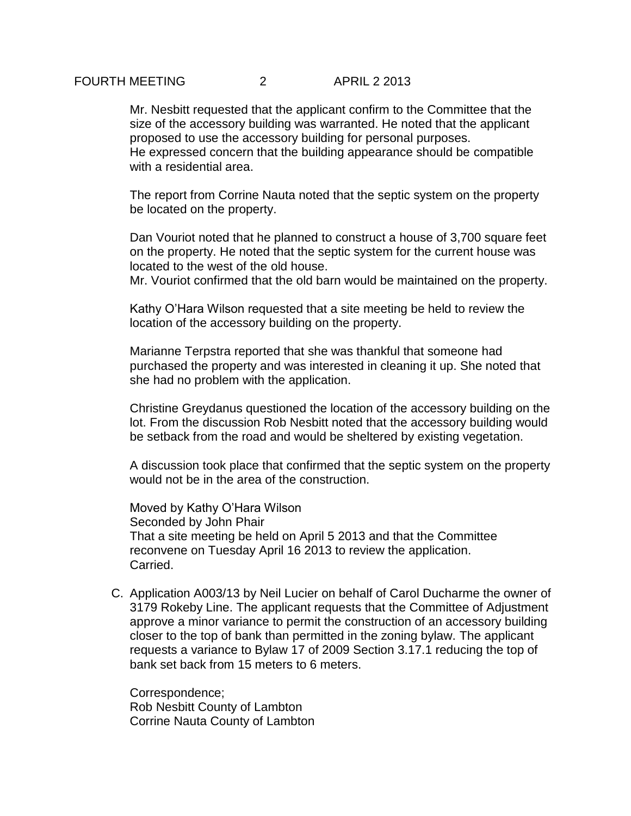## FOURTH MEETING 2 APRIL 2 2013

Mr. Nesbitt requested that the applicant confirm to the Committee that the size of the accessory building was warranted. He noted that the applicant proposed to use the accessory building for personal purposes. He expressed concern that the building appearance should be compatible with a residential area.

The report from Corrine Nauta noted that the septic system on the property be located on the property.

Dan Vouriot noted that he planned to construct a house of 3,700 square feet on the property. He noted that the septic system for the current house was located to the west of the old house.

Mr. Vouriot confirmed that the old barn would be maintained on the property.

Kathy O'Hara Wilson requested that a site meeting be held to review the location of the accessory building on the property.

Marianne Terpstra reported that she was thankful that someone had purchased the property and was interested in cleaning it up. She noted that she had no problem with the application.

Christine Greydanus questioned the location of the accessory building on the lot. From the discussion Rob Nesbitt noted that the accessory building would be setback from the road and would be sheltered by existing vegetation.

A discussion took place that confirmed that the septic system on the property would not be in the area of the construction.

Moved by Kathy O'Hara Wilson Seconded by John Phair That a site meeting be held on April 5 2013 and that the Committee reconvene on Tuesday April 16 2013 to review the application. Carried.

C. Application A003/13 by Neil Lucier on behalf of Carol Ducharme the owner of 3179 Rokeby Line. The applicant requests that the Committee of Adjustment approve a minor variance to permit the construction of an accessory building closer to the top of bank than permitted in the zoning bylaw. The applicant requests a variance to Bylaw 17 of 2009 Section 3.17.1 reducing the top of bank set back from 15 meters to 6 meters.

Correspondence; Rob Nesbitt County of Lambton Corrine Nauta County of Lambton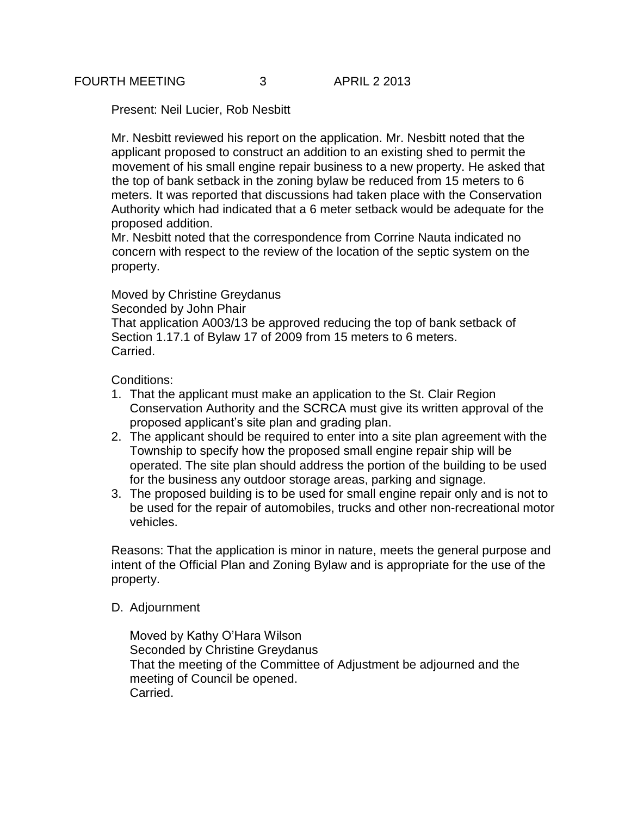Present: Neil Lucier, Rob Nesbitt

Mr. Nesbitt reviewed his report on the application. Mr. Nesbitt noted that the applicant proposed to construct an addition to an existing shed to permit the movement of his small engine repair business to a new property. He asked that the top of bank setback in the zoning bylaw be reduced from 15 meters to 6 meters. It was reported that discussions had taken place with the Conservation Authority which had indicated that a 6 meter setback would be adequate for the proposed addition.

Mr. Nesbitt noted that the correspondence from Corrine Nauta indicated no concern with respect to the review of the location of the septic system on the property.

Moved by Christine Greydanus Seconded by John Phair That application A003/13 be approved reducing the top of bank setback of Section 1.17.1 of Bylaw 17 of 2009 from 15 meters to 6 meters. Carried.

Conditions:

- 1. That the applicant must make an application to the St. Clair Region Conservation Authority and the SCRCA must give its written approval of the proposed applicant's site plan and grading plan.
- 2. The applicant should be required to enter into a site plan agreement with the Township to specify how the proposed small engine repair ship will be operated. The site plan should address the portion of the building to be used for the business any outdoor storage areas, parking and signage.
- 3. The proposed building is to be used for small engine repair only and is not to be used for the repair of automobiles, trucks and other non-recreational motor vehicles.

Reasons: That the application is minor in nature, meets the general purpose and intent of the Official Plan and Zoning Bylaw and is appropriate for the use of the property.

## D. Adjournment

Moved by Kathy O'Hara Wilson Seconded by Christine Greydanus That the meeting of the Committee of Adjustment be adjourned and the meeting of Council be opened. Carried.